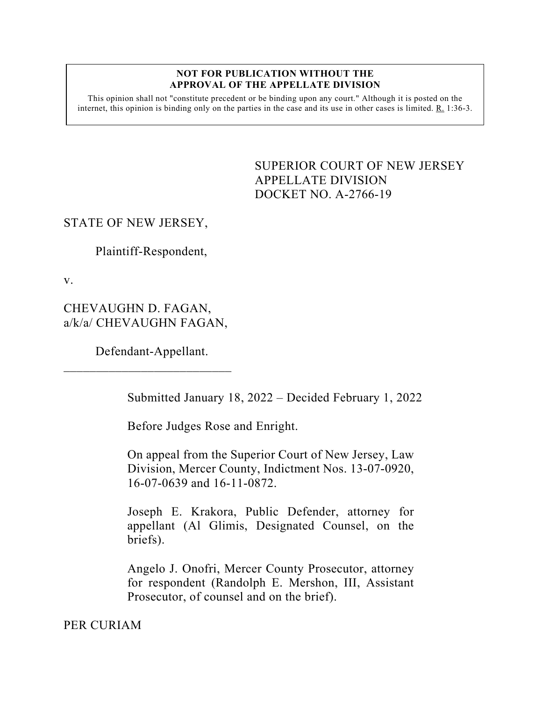#### **NOT FOR PUBLICATION WITHOUT THE APPROVAL OF THE APPELLATE DIVISION**

This opinion shall not "constitute precedent or be binding upon any court." Although it is posted on the internet, this opinion is binding only on the parties in the case and its use in other cases is limited. R. 1:36-3.

> <span id="page-0-0"></span>SUPERIOR COURT OF NEW JERSEY APPELLATE DIVISION DOCKET NO. A-2766-19

# STATE OF NEW JERSEY,

Plaintiff-Respondent,

v.

CHEVAUGHN D. FAGAN, a/k/a/ CHEVAUGHN FAGAN,

Defendant-Appellant.

 $\overline{\phantom{a}}$  , which is a set of the set of the set of the set of the set of the set of the set of the set of the set of the set of the set of the set of the set of the set of the set of the set of the set of the set of th

Submitted January 18, 2022 – Decided February 1, 2022

Before Judges Rose and Enright.

On appeal from the Superior Court of New Jersey, Law Division, Mercer County, Indictment Nos. 13-07-0920, 16-07-0639 and 16-11-0872.

Joseph E. Krakora, Public Defender, attorney for appellant (Al Glimis, Designated Counsel, on the briefs).

Angelo J. Onofri, Mercer County Prosecutor, attorney for respondent (Randolph E. Mershon, III, Assistant Prosecutor, of counsel and on the brief).

PER CURIAM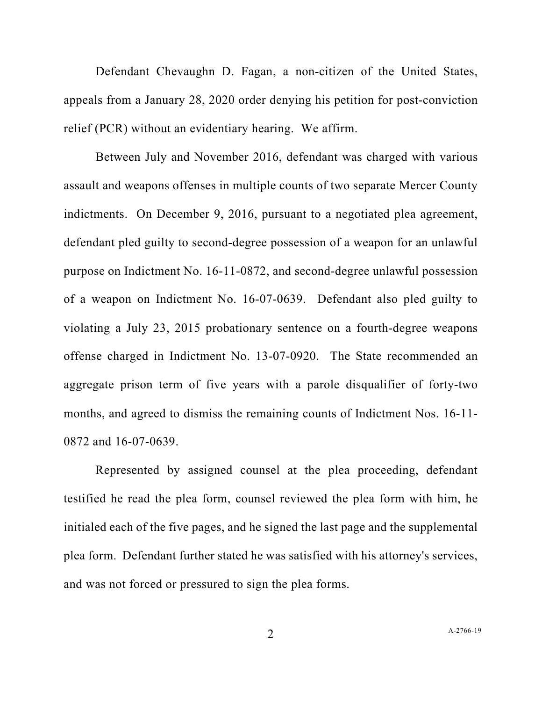Defendant Chevaughn D. Fagan, a non-citizen of the United States, appeals from a January 28, 2020 order denying his petition for post-conviction relief (PCR) without an evidentiary hearing. We affirm.

Between July and November 2016, defendant was charged with various assault and weapons offenses in multiple counts of two separate Mercer County indictments. On December 9, 2016, pursuant to a negotiated plea agreement, defendant pled guilty to second-degree possession of a weapon for an unlawful purpose on Indictment No. 16-11-0872, and second-degree unlawful possession of a weapon on Indictment No. 16-07-0639. Defendant also pled guilty to violating a July 23, 2015 probationary sentence on a fourth-degree weapons offense charged in Indictment No. 13-07-0920. The State recommended an aggregate prison term of five years with a parole disqualifier of forty-two months, and agreed to dismiss the remaining counts of Indictment Nos. 16-11- 0872 and 16-07-0639.

Represented by assigned counsel at the plea proceeding, defendant testified he read the plea form, counsel reviewed the plea form with him, he initialed each of the five pages, and he signed the last page and the supplemental plea form. Defendant further stated he was satisfied with his attorney's services, and was not forced or pressured to sign the plea forms.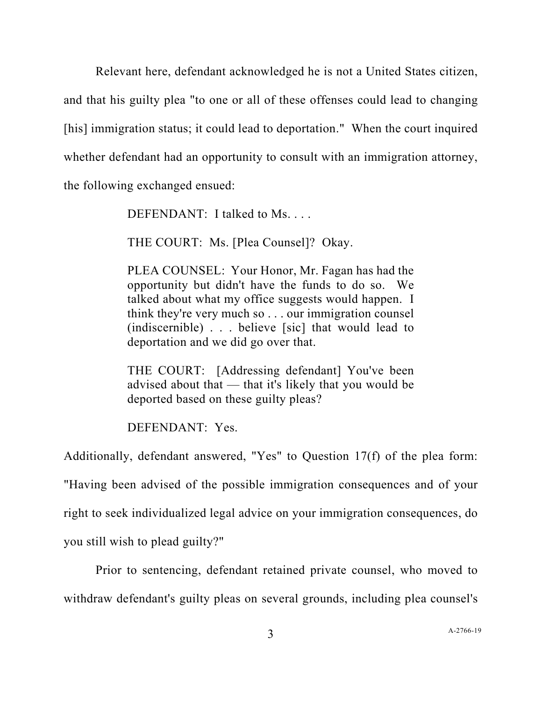Relevant here, defendant acknowledged he is not a United States citizen, and that his guilty plea "to one or all of these offenses could lead to changing [his] immigration status; it could lead to deportation." When the court inquired whether defendant had an opportunity to consult with an immigration attorney, the following exchanged ensued:

DEFENDANT: I talked to Ms. . . .

THE COURT: Ms. [Plea Counsel]? Okay.

PLEA COUNSEL: Your Honor, Mr. Fagan has had the opportunity but didn't have the funds to do so. We talked about what my office suggests would happen. I think they're very much so . . . our immigration counsel (indiscernible) . . . believe [sic] that would lead to deportation and we did go over that.

THE COURT: [Addressing defendant] You've been advised about that — that it's likely that you would be deported based on these guilty pleas?

DEFENDANT: Yes.

Additionally, defendant answered, "Yes" to Question 17(f) of the plea form:

"Having been advised of the possible immigration consequences and of your

right to seek individualized legal advice on your immigration consequences, do

you still wish to plead guilty?"

Prior to sentencing, defendant retained private counsel, who moved to withdraw defendant's guilty pleas on several grounds, including plea counsel's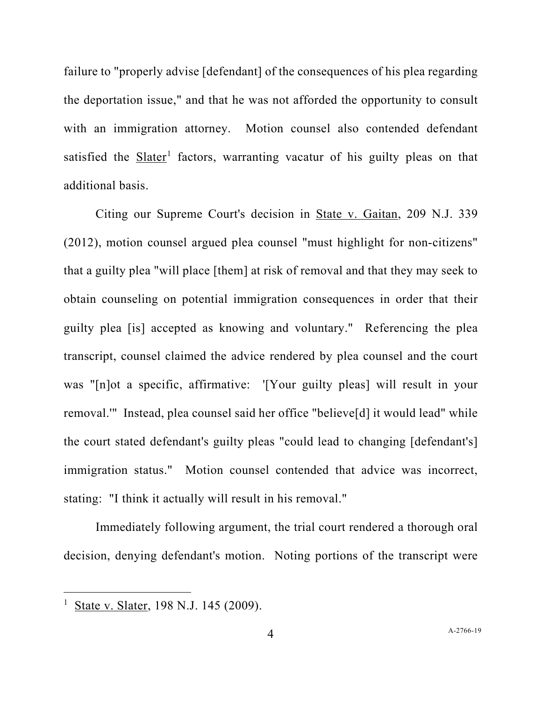failure to "properly advise [defendant] of the consequences of his plea regarding the deportation issue," and that he was not afforded the opportunity to consult with an immigration attorney. Motion counsel also contended defendant satisfied the Slater<sup>[1](#page-3-0)</sup> factors, warranting vacatur of his guilty pleas on that additional basis.

Citing our Supreme Court's decision in State v. Gaitan, 209 N.J. 339 (2012), motion counsel argued plea counsel "must highlight for non-citizens" that a guilty plea "will place [them] at risk of removal and that they may seek to obtain counseling on potential immigration consequences in order that their guilty plea [is] accepted as knowing and voluntary." Referencing the plea transcript, counsel claimed the advice rendered by plea counsel and the court was "[n]ot a specific, affirmative: '[Your guilty pleas] will result in your removal.'" Instead, plea counsel said her office "believe[d] it would lead" while the court stated defendant's guilty pleas "could lead to changing [defendant's] immigration status." Motion counsel contended that advice was incorrect, stating: "I think it actually will result in his removal."

Immediately following argument, the trial court rendered a thorough oral decision, denying defendant's motion. Noting portions of the transcript were

<span id="page-3-0"></span>State v. Slater, 198 N.J. 145 (2009).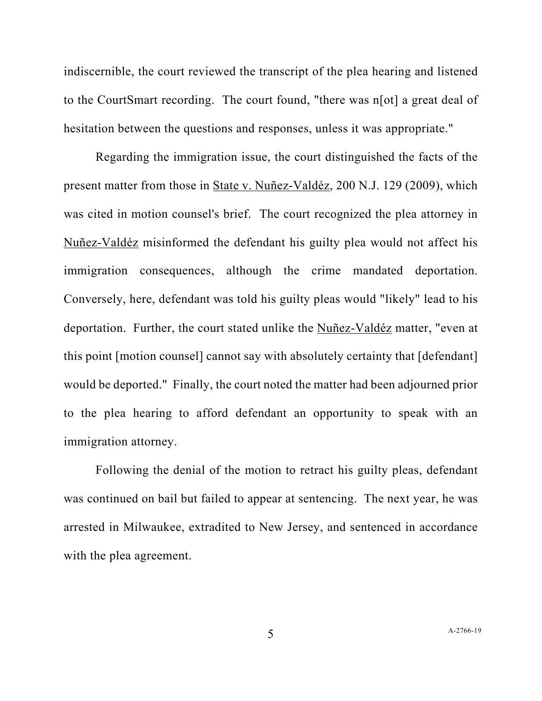indiscernible, the court reviewed the transcript of the plea hearing and listened to the CourtSmart recording. The court found, "there was n[ot] a great deal of hesitation between the questions and responses, unless it was appropriate."

Regarding the immigration issue, the court distinguished the facts of the present matter from those in State v. Nuñez-Valdéz, 200 N.J. 129 (2009), which was cited in motion counsel's brief. The court recognized the plea attorney in Nuñez-Valdéz misinformed the defendant his guilty plea would not affect his immigration consequences, although the crime mandated deportation. Conversely, here, defendant was told his guilty pleas would "likely" lead to his deportation. Further, the court stated unlike the Nuñez-Valdéz matter, "even at this point [motion counsel] cannot say with absolutely certainty that [defendant] would be deported." Finally, the court noted the matter had been adjourned prior to the plea hearing to afford defendant an opportunity to speak with an immigration attorney.

Following the denial of the motion to retract his guilty pleas, defendant was continued on bail but failed to appear at sentencing. The next year, he was arrested in Milwaukee, extradited to New Jersey, and sentenced in accordance with the plea agreement.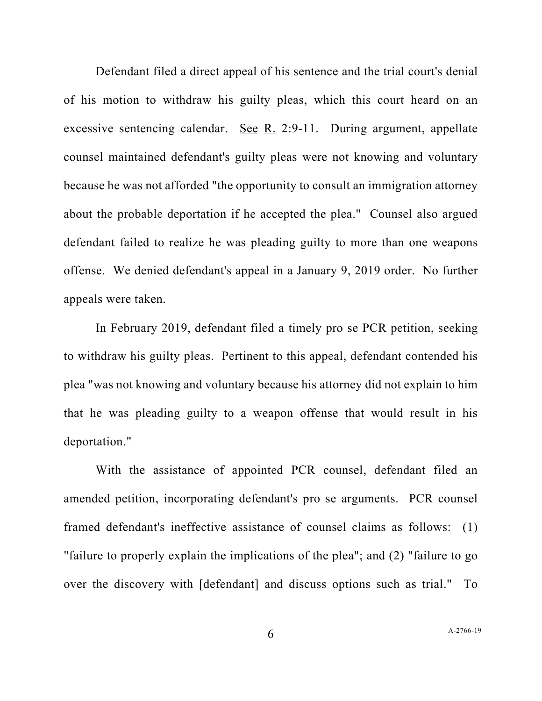Defendant filed a direct appeal of his sentence and the trial court's denial of his motion to withdraw his guilty pleas, which this court heard on an excessive sentencing calendar. See R. 2:9-11. During argument, appellate counsel maintained defendant's guilty pleas were not knowing and voluntary because he was not afforded "the opportunity to consult an immigration attorney about the probable deportation if he accepted the plea." Counsel also argued defendant failed to realize he was pleading guilty to more than one weapons offense. We denied defendant's appeal in a January 9, 2019 order. No further appeals were taken.

In February 2019, defendant filed a timely pro se PCR petition, seeking to withdraw his guilty pleas. Pertinent to this appeal, defendant contended his plea "was not knowing and voluntary because his attorney did not explain to him that he was pleading guilty to a weapon offense that would result in his deportation."

With the assistance of appointed PCR counsel, defendant filed an amended petition, incorporating defendant's pro se arguments. PCR counsel framed defendant's ineffective assistance of counsel claims as follows: (1) "failure to properly explain the implications of the plea"; and (2) "failure to go over the discovery with [defendant] and discuss options such as trial." To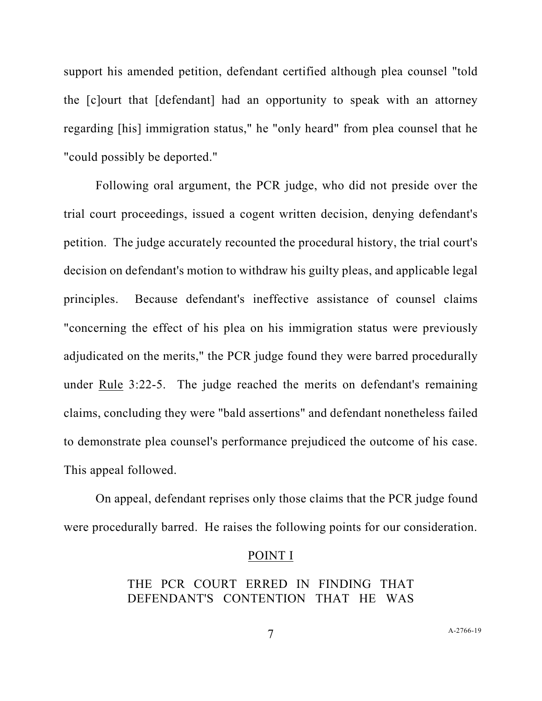support his amended petition, defendant certified although plea counsel "told the [c]ourt that [defendant] had an opportunity to speak with an attorney regarding [his] immigration status," he "only heard" from plea counsel that he "could possibly be deported."

Following oral argument, the PCR judge, who did not preside over the trial court proceedings, issued a cogent written decision, denying defendant's petition. The judge accurately recounted the procedural history, the trial court's decision on defendant's motion to withdraw his guilty pleas, and applicable legal principles. Because defendant's ineffective assistance of counsel claims "concerning the effect of his plea on his immigration status were previously adjudicated on the merits," the PCR judge found they were barred procedurally under Rule 3:22-5. The judge reached the merits on defendant's remaining claims, concluding they were "bald assertions" and defendant nonetheless failed to demonstrate plea counsel's performance prejudiced the outcome of his case. This appeal followed.

On appeal, defendant reprises only those claims that the PCR judge found were procedurally barred. He raises the following points for our consideration.

#### POINT I

## THE PCR COURT ERRED IN FINDING THAT DEFENDANT'S CONTENTION THAT HE WAS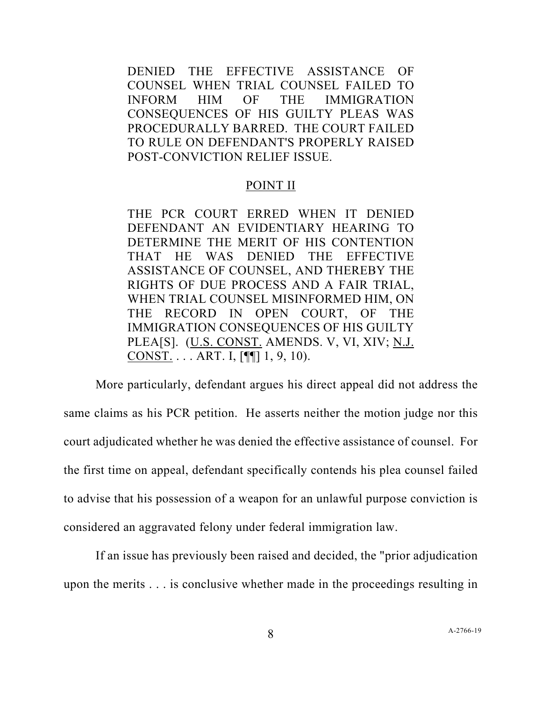DENIED THE EFFECTIVE ASSISTANCE OF COUNSEL WHEN TRIAL COUNSEL FAILED TO INFORM HIM OF THE IMMIGRATION CONSEQUENCES OF HIS GUILTY PLEAS WAS PROCEDURALLY BARRED. THE COURT FAILED TO RULE ON DEFENDANT'S PROPERLY RAISED POST-CONVICTION RELIEF ISSUE.

### POINT II

THE PCR COURT ERRED WHEN IT DENIED DEFENDANT AN EVIDENTIARY HEARING TO DETERMINE THE MERIT OF HIS CONTENTION THAT HE WAS DENIED THE EFFECTIVE ASSISTANCE OF COUNSEL, AND THEREBY THE RIGHTS OF DUE PROCESS AND A FAIR TRIAL, WHEN TRIAL COUNSEL MISINFORMED HIM, ON THE RECORD IN OPEN COURT, OF THE IMMIGRATION CONSEQUENCES OF HIS GUILTY PLEA[S]. (U.S. CONST. AMENDS. V, VI, XIV; N.J. CONST. . . . ART. I,  $[\P\P]$  1, 9, 10).

More particularly, defendant argues his direct appeal did not address the same claims as his PCR petition. He asserts neither the motion judge nor this court adjudicated whether he was denied the effective assistance of counsel. For the first time on appeal, defendant specifically contends his plea counsel failed to advise that his possession of a weapon for an unlawful purpose conviction is considered an aggravated felony under federal immigration law.

If an issue has previously been raised and decided, the "prior adjudication upon the merits . . . is conclusive whether made in the proceedings resulting in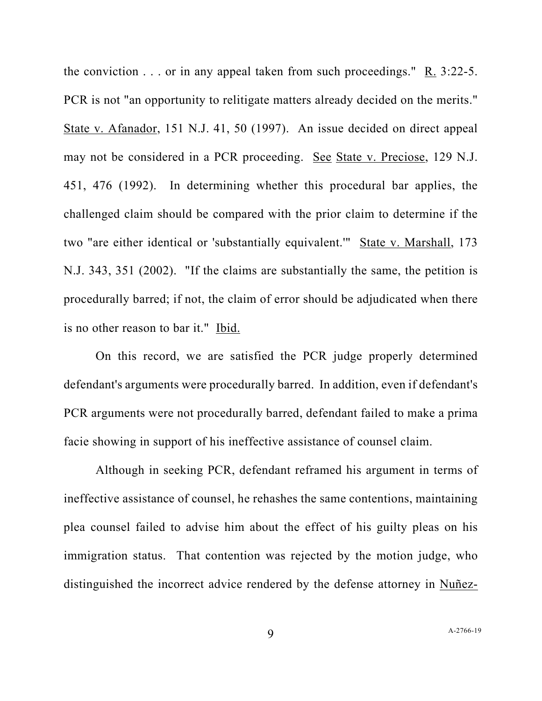the conviction  $\ldots$  or in any appeal taken from such proceedings." R. 3:22-5. PCR is not "an opportunity to relitigate matters already decided on the merits." State v. Afanador, 151 N.J. 41, 50 (1997). An issue decided on direct appeal may not be considered in a PCR proceeding. See State v. Preciose, 129 N.J. 451, 476 (1992). In determining whether this procedural bar applies, the challenged claim should be compared with the prior claim to determine if the two "are either identical or 'substantially equivalent.'" State v. Marshall, 173 N.J. 343, 351 (2002). "If the claims are substantially the same, the petition is procedurally barred; if not, the claim of error should be adjudicated when there is no other reason to bar it." Ibid.

On this record, we are satisfied the PCR judge properly determined defendant's arguments were procedurally barred. In addition, even if defendant's PCR arguments were not procedurally barred, defendant failed to make a prima facie showing in support of his ineffective assistance of counsel claim.

Although in seeking PCR, defendant reframed his argument in terms of ineffective assistance of counsel, he rehashes the same contentions, maintaining plea counsel failed to advise him about the effect of his guilty pleas on his immigration status. That contention was rejected by the motion judge, who distinguished the incorrect advice rendered by the defense attorney in Nuñez-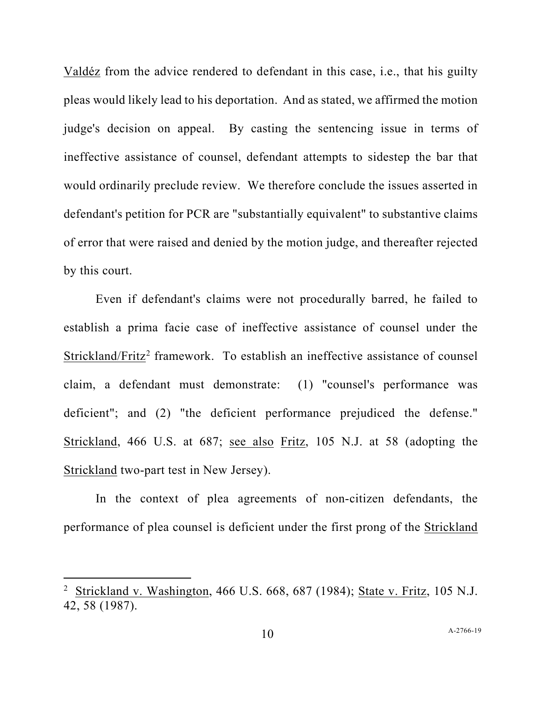Valdéz from the advice rendered to defendant in this case, i.e., that his guilty pleas would likely lead to his deportation. And as stated, we affirmed the motion judge's decision on appeal. By casting the sentencing issue in terms of ineffective assistance of counsel, defendant attempts to sidestep the bar that would ordinarily preclude review. We therefore conclude the issues asserted in defendant's petition for PCR are "substantially equivalent" to substantive claims of error that were raised and denied by the motion judge, and thereafter rejected by this court.

Even if defendant's claims were not procedurally barred, he failed to establish a prima facie case of ineffective assistance of counsel under the Strickland/Fritz<sup>[2](#page-9-0)</sup> framework. To establish an ineffective assistance of counsel claim, a defendant must demonstrate: (1) "counsel's performance was deficient"; and (2) "the deficient performance prejudiced the defense." Strickland, 466 U.S. at 687; see also Fritz, 105 N.J. at 58 (adopting the Strickland two-part test in New Jersey).

In the context of plea agreements of non-citizen defendants, the performance of plea counsel is deficient under the first prong of the Strickland

<span id="page-9-0"></span><sup>2</sup> Strickland v. Washington, 466 U.S. 668, 687 (1984); State v. Fritz, 105 N.J. 42, 58 (1987).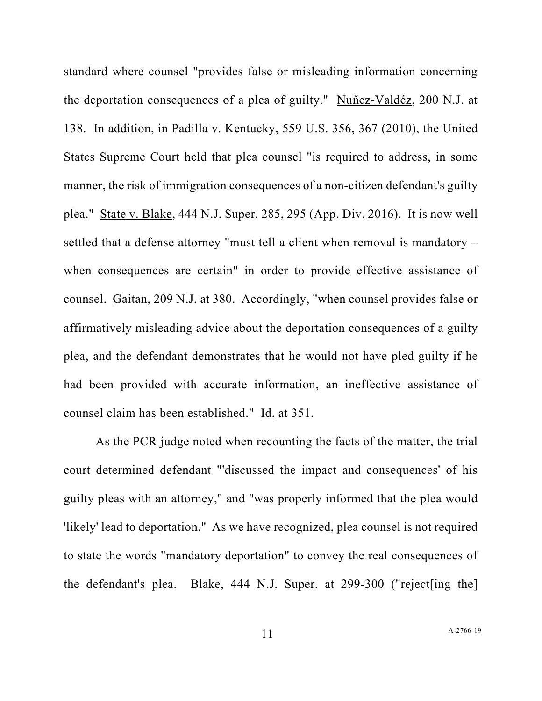standard where counsel "provides false or misleading information concerning the deportation consequences of a plea of guilty." Nuñez-Valdéz, 200 N.J. at 138. In addition, in Padilla v. Kentucky, 559 U.S. 356, 367 (2010), the United States Supreme Court held that plea counsel "is required to address, in some manner, the risk of immigration consequences of a non-citizen defendant's guilty plea." State v. Blake, 444 N.J. Super. 285, 295 (App. Div. 2016). It is now well settled that a defense attorney "must tell a client when removal is mandatory – when consequences are certain" in order to provide effective assistance of counsel. Gaitan, 209 N.J. at 380. Accordingly, "when counsel provides false or affirmatively misleading advice about the deportation consequences of a guilty plea, and the defendant demonstrates that he would not have pled guilty if he had been provided with accurate information, an ineffective assistance of counsel claim has been established." Id. at 351.

As the PCR judge noted when recounting the facts of the matter, the trial court determined defendant "'discussed the impact and consequences' of his guilty pleas with an attorney," and "was properly informed that the plea would 'likely' lead to deportation." As we have recognized, plea counsel is not required to state the words "mandatory deportation" to convey the real consequences of the defendant's plea. Blake, 444 N.J. Super. at 299-300 ("reject[ing the]